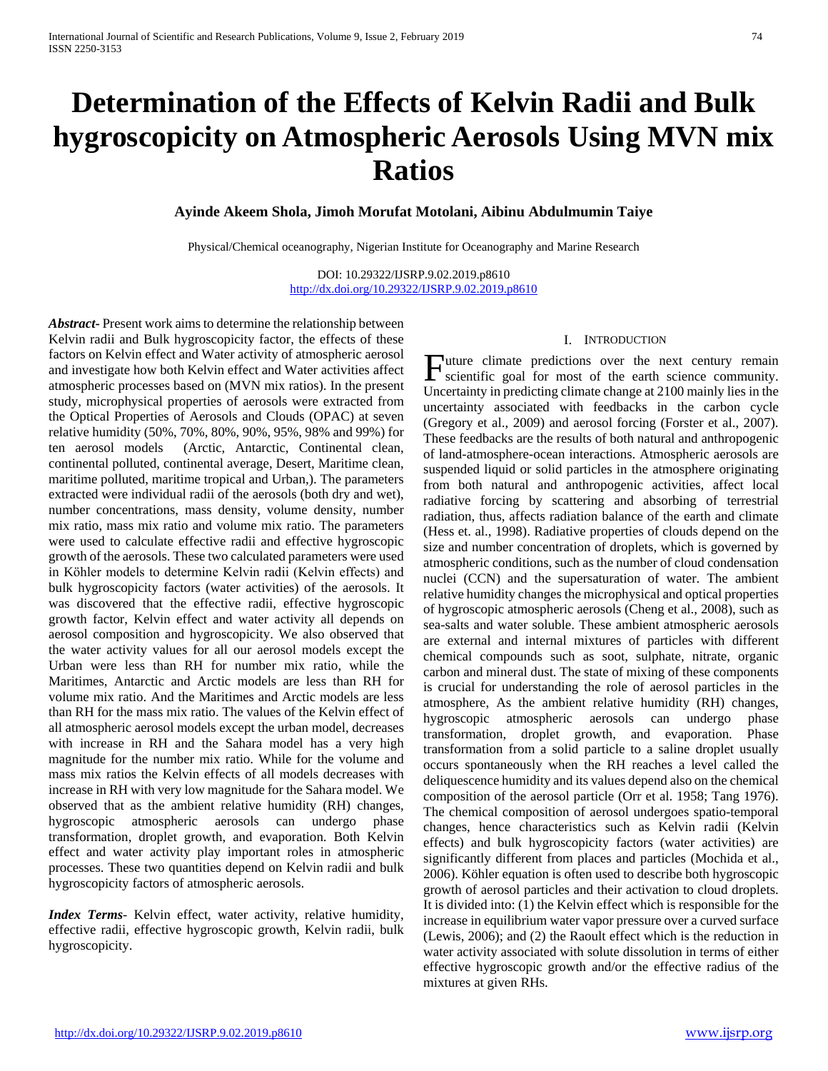# **Determination of the Effects of Kelvin Radii and Bulk hygroscopicity on Atmospheric Aerosols Using MVN mix Ratios**

# **Ayinde Akeem Shola, Jimoh Morufat Motolani, Aibinu Abdulmumin Taiye**

Physical/Chemical oceanography, Nigerian Institute for Oceanography and Marine Research

DOI: 10.29322/IJSRP.9.02.2019.p8610 <http://dx.doi.org/10.29322/IJSRP.9.02.2019.p8610>

*Abstract***-** Present work aims to determine the relationship between Kelvin radii and Bulk hygroscopicity factor, the effects of these factors on Kelvin effect and Water activity of atmospheric aerosol and investigate how both Kelvin effect and Water activities affect atmospheric processes based on (MVN mix ratios). In the present study, microphysical properties of aerosols were extracted from the Optical Properties of Aerosols and Clouds (OPAC) at seven relative humidity (50%, 70%, 80%, 90%, 95%, 98% and 99%) for ten aerosol models (Arctic, Antarctic, Continental clean, continental polluted, continental average, Desert, Maritime clean, maritime polluted, maritime tropical and Urban,). The parameters extracted were individual radii of the aerosols (both dry and wet), number concentrations, mass density, volume density, number mix ratio, mass mix ratio and volume mix ratio. The parameters were used to calculate effective radii and effective hygroscopic growth of the aerosols. These two calculated parameters were used in Kӧhler models to determine Kelvin radii (Kelvin effects) and bulk hygroscopicity factors (water activities) of the aerosols. It was discovered that the effective radii, effective hygroscopic growth factor, Kelvin effect and water activity all depends on aerosol composition and hygroscopicity. We also observed that the water activity values for all our aerosol models except the Urban were less than RH for number mix ratio, while the Maritimes, Antarctic and Arctic models are less than RH for volume mix ratio. And the Maritimes and Arctic models are less than RH for the mass mix ratio. The values of the Kelvin effect of all atmospheric aerosol models except the urban model, decreases with increase in RH and the Sahara model has a very high magnitude for the number mix ratio. While for the volume and mass mix ratios the Kelvin effects of all models decreases with increase in RH with very low magnitude for the Sahara model. We observed that as the ambient relative humidity (RH) changes, hygroscopic atmospheric aerosols can undergo phase transformation, droplet growth, and evaporation. Both Kelvin effect and water activity play important roles in atmospheric processes. These two quantities depend on Kelvin radii and bulk hygroscopicity factors of atmospheric aerosols.

*Index Terms*- Kelvin effect, water activity, relative humidity, effective radii, effective hygroscopic growth, Kelvin radii, bulk hygroscopicity.

#### I. INTRODUCTION

uture climate predictions over the next century remain Future climate predictions over the next century remain science community. Uncertainty in predicting climate change at 2100 mainly lies in the uncertainty associated with feedbacks in the carbon cycle (Gregory et al., 2009) and aerosol forcing (Forster et al., 2007). These feedbacks are the results of both natural and anthropogenic of land-atmosphere-ocean interactions. Atmospheric aerosols are suspended liquid or solid particles in the atmosphere originating from both natural and anthropogenic activities, affect local radiative forcing by scattering and absorbing of terrestrial radiation, thus, affects radiation balance of the earth and climate (Hess et. al., 1998). Radiative properties of clouds depend on the size and number concentration of droplets, which is governed by atmospheric conditions, such as the number of cloud condensation nuclei (CCN) and the supersaturation of water. The ambient relative humidity changes the microphysical and optical properties of hygroscopic atmospheric aerosols (Cheng et al., 2008), such as sea-salts and water soluble. These ambient atmospheric aerosols are external and internal mixtures of particles with different chemical compounds such as soot, sulphate, nitrate, organic carbon and mineral dust. The state of mixing of these components is crucial for understanding the role of aerosol particles in the atmosphere, As the ambient relative humidity (RH) changes, hygroscopic atmospheric aerosols can undergo phase transformation, droplet growth, and evaporation. Phase transformation from a solid particle to a saline droplet usually occurs spontaneously when the RH reaches a level called the deliquescence humidity and its values depend also on the chemical composition of the aerosol particle (Orr et al. 1958; Tang 1976). The chemical composition of aerosol undergoes spatio-temporal changes, hence characteristics such as Kelvin radii (Kelvin effects) and bulk hygroscopicity factors (water activities) are significantly different from places and particles (Mochida et al., 2006). Köhler equation is often used to describe both hygroscopic growth of aerosol particles and their activation to cloud droplets. It is divided into: (1) the Kelvin effect which is responsible for the increase in equilibrium water vapor pressure over a curved surface (Lewis, 2006); and (2) the Raoult effect which is the reduction in water activity associated with solute dissolution in terms of either effective hygroscopic growth and/or the effective radius of the mixtures at given RHs.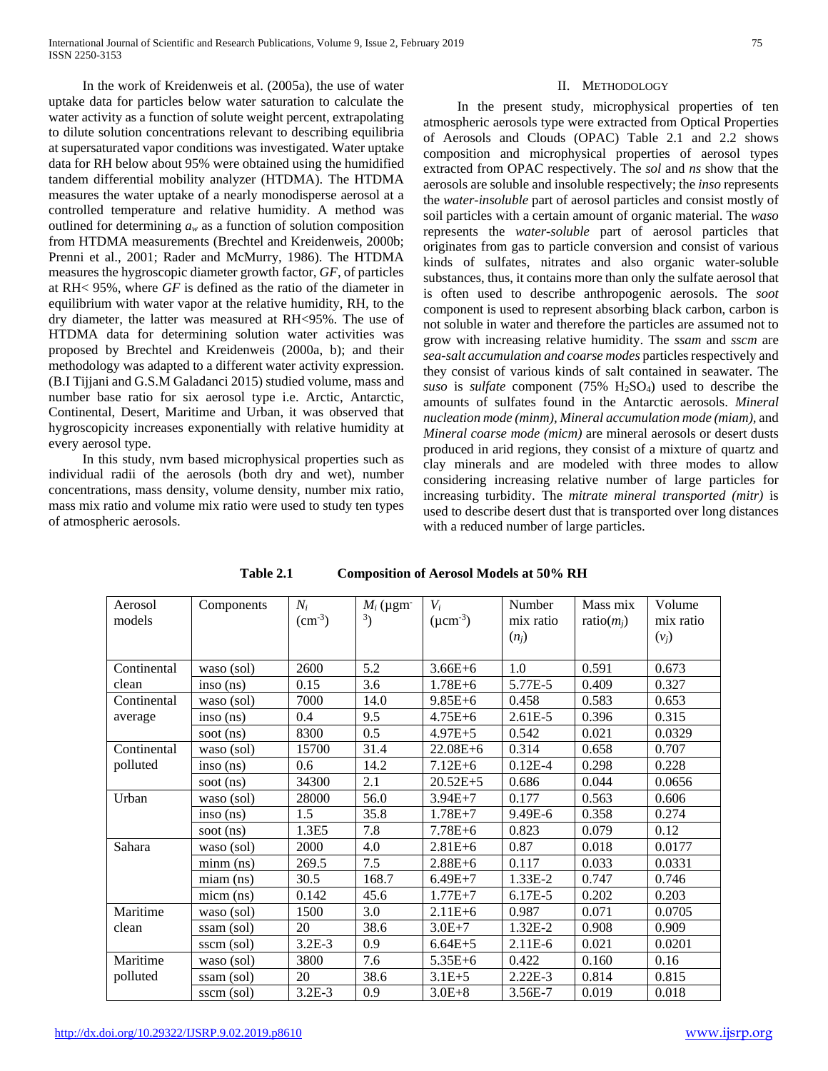In the work of Kreidenweis et al. (2005a), the use of water uptake data for particles below water saturation to calculate the water activity as a function of solute weight percent, extrapolating to dilute solution concentrations relevant to describing equilibria at supersaturated vapor conditions was investigated. Water uptake data for RH below about 95% were obtained using the humidified tandem differential mobility analyzer (HTDMA). The HTDMA measures the water uptake of a nearly monodisperse aerosol at a controlled temperature and relative humidity. A method was outlined for determining  $a_w$  as a function of solution composition from HTDMA measurements (Brechtel and Kreidenweis, 2000b; Prenni et al., 2001; Rader and McMurry, 1986). The HTDMA measures the hygroscopic diameter growth factor, *GF*, of particles at RH< 95%, where *GF* is defined as the ratio of the diameter in equilibrium with water vapor at the relative humidity, RH, to the dry diameter, the latter was measured at RH<95%. The use of HTDMA data for determining solution water activities was proposed by Brechtel and Kreidenweis (2000a, b); and their methodology was adapted to a different water activity expression. (B.I Tijjani and G.S.M Galadanci 2015) studied volume, mass and number base ratio for six aerosol type i.e. Arctic, Antarctic, Continental, Desert, Maritime and Urban, it was observed that hygroscopicity increases exponentially with relative humidity at every aerosol type.

 In this study, nvm based microphysical properties such as individual radii of the aerosols (both dry and wet), number concentrations, mass density, volume density, number mix ratio, mass mix ratio and volume mix ratio were used to study ten types of atmospheric aerosols.

#### II. METHODOLOGY

 In the present study, microphysical properties of ten atmospheric aerosols type were extracted from Optical Properties of Aerosols and Clouds (OPAC) Table 2.1 and 2.2 shows composition and microphysical properties of aerosol types extracted from OPAC respectively. The *sol* and *ns* show that the aerosols are soluble and insoluble respectively; the *inso* represents the *water-insoluble* part of aerosol particles and consist mostly of soil particles with a certain amount of organic material. The *waso* represents the *water-soluble* part of aerosol particles that originates from gas to particle conversion and consist of various kinds of sulfates, nitrates and also organic water-soluble substances, thus, it contains more than only the sulfate aerosol that is often used to describe anthropogenic aerosols. The *soot* component is used to represent absorbing black carbon, carbon is not soluble in water and therefore the particles are assumed not to grow with increasing relative humidity. The *ssam* and *sscm* are *sea-salt accumulation and coarse modes* particles respectively and they consist of various kinds of salt contained in seawater. The *suso* is *sulfate* component (75% H2SO4) used to describe the amounts of sulfates found in the Antarctic aerosols. *Mineral nucleation mode (minm), Mineral accumulation mode (miam),* and *Mineral coarse mode (micm)* are mineral aerosols or desert dusts produced in arid regions, they consist of a mixture of quartz and clay minerals and are modeled with three modes to allow considering increasing relative number of large particles for increasing turbidity. The *mitrate mineral transported (mitr)* is used to describe desert dust that is transported over long distances with a reduced number of large particles.

| Aerosol<br>models | Components | $N_i$<br>$\text{cm}^3$ | $M_i$ (µgm<br>3) | $V_i$<br>$(\mu$ cm <sup>-3</sup> ) | Number<br>mix ratio | Mass mix<br>ratio $(m_i)$ | Volume<br>mix ratio |
|-------------------|------------|------------------------|------------------|------------------------------------|---------------------|---------------------------|---------------------|
|                   |            |                        |                  |                                    | $(n_i)$             |                           | $(v_j)$             |
|                   |            |                        |                  |                                    |                     |                           |                     |
| Continental       | waso (sol) | 2600                   | 5.2              | $3.66E + 6$                        | 1.0                 | 0.591                     | 0.673               |
| clean             | inso (ns)  | 0.15                   | 3.6              | $1.78E + 6$                        | 5.77E-5             | 0.409                     | 0.327               |
| Continental       | waso (sol) | 7000                   | 14.0             | $9.85E + 6$                        | 0.458               | 0.583                     | 0.653               |
| average           | inso (ns)  | 0.4                    | 9.5              | $4.75E + 6$                        | $2.61E-5$           | 0.396                     | 0.315               |
|                   | soot (ns)  | 8300                   | 0.5              | $4.97E + 5$                        | 0.542               | 0.021                     | 0.0329              |
| Continental       | waso (sol) | 15700                  | 31.4             | $22.08E + 6$                       | 0.314               | 0.658                     | 0.707               |
| polluted          | inso (ns)  | 0.6                    | 14.2             | $7.12E + 6$                        | $0.12E-4$           | 0.298                     | 0.228               |
|                   | soot (ns)  | 34300                  | 2.1              | $20.52E + 5$                       | 0.686               | 0.044                     | 0.0656              |
| Urban             | waso (sol) | 28000                  | 56.0             | $3.94E+7$                          | 0.177               | 0.563                     | 0.606               |
|                   | inso(ns)   | 1.5                    | 35.8             | $1.78E + 7$                        | 9.49E-6             | 0.358                     | 0.274               |
|                   | soot (ns)  | 1.3E5                  | 7.8              | $7.78E + 6$                        | 0.823               | 0.079                     | 0.12                |
| Sahara            | waso (sol) | 2000                   | 4.0              | $2.81E + 6$                        | 0.87                | 0.018                     | 0.0177              |
|                   | minm (ns)  | 269.5                  | 7.5              | $2.88E + 6$                        | 0.117               | 0.033                     | 0.0331              |
|                   | miam (ns)  | 30.5                   | 168.7            | $6.49E+7$                          | 1.33E-2             | 0.747                     | 0.746               |
|                   | micm (ns)  | 0.142                  | 45.6             | $1.77E + 7$                        | 6.17E-5             | 0.202                     | 0.203               |
| Maritime          | waso (sol) | 1500                   | 3.0              | $2.11E + 6$                        | 0.987               | 0.071                     | 0.0705              |
| clean             | ssam (sol) | 20                     | 38.6             | $3.0E + 7$                         | 1.32E-2             | 0.908                     | 0.909               |
|                   | sscm (sol) | $3.2E-3$               | 0.9              | $6.64E + 5$                        | $2.11E-6$           | 0.021                     | 0.0201              |
| Maritime          | waso (sol) | 3800                   | 7.6              | $5.35E + 6$                        | 0.422               | 0.160                     | 0.16                |
| polluted          | ssam (sol) | 20                     | 38.6             | $3.1E + 5$                         | $2.22E-3$           | 0.814                     | 0.815               |
|                   | sscm (sol) | $3.2E-3$               | 0.9              | $3.0E + 8$                         | 3.56E-7             | 0.019                     | 0.018               |

**Table 2.1 Composition of Aerosol Models at 50% RH**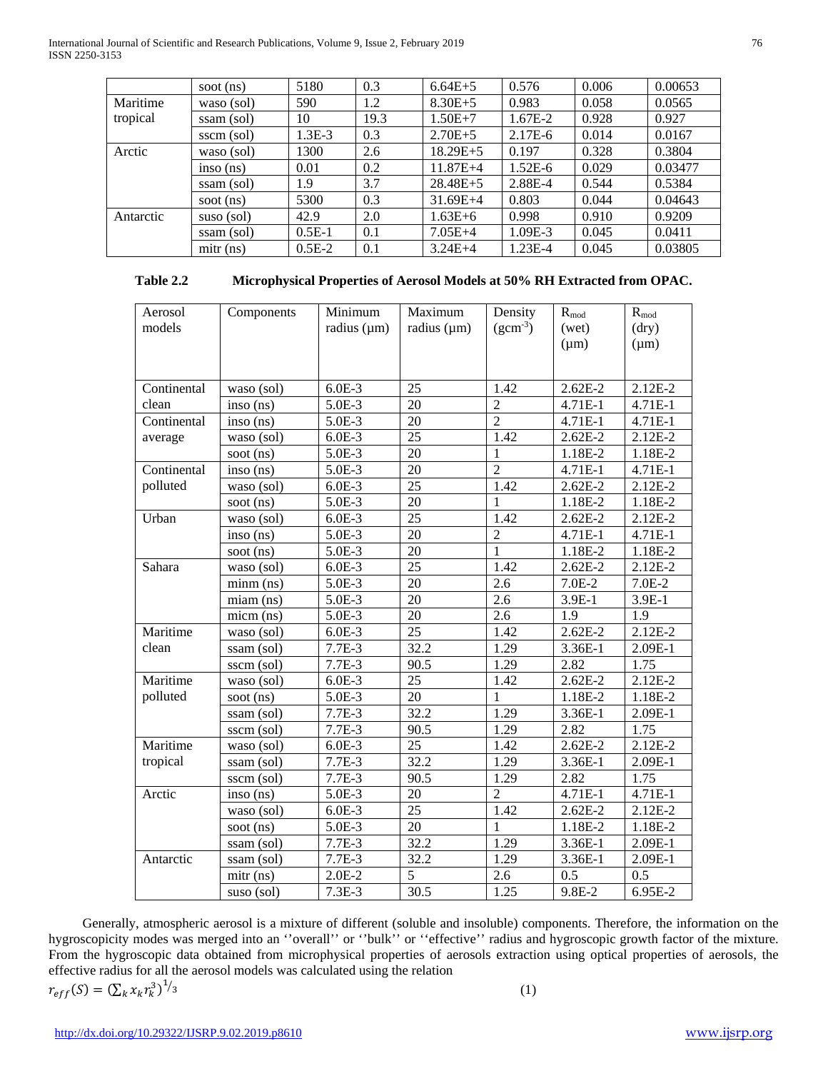International Journal of Scientific and Research Publications, Volume 9, Issue 2, February 2019 76 ISSN 2250-3153

|           | soot (ns)   | 5180     | 0.3  | $6.64E + 5$  | 0.576       | 0.006 | 0.00653 |
|-----------|-------------|----------|------|--------------|-------------|-------|---------|
| Maritime  | waso (sol)  | 590      | 1.2  | $8.30E + 5$  | 0.983       | 0.058 | 0.0565  |
| tropical  | ssam (sol)  | 10       | 19.3 | $1.50E + 7$  | $1.67E-2$   | 0.928 | 0.927   |
|           | sscm (sol)  | $1.3E-3$ | 0.3  | $2.70E + 5$  | $2.17E-6$   | 0.014 | 0.0167  |
| Arctic    | waso (sol)  | 1300     | 2.6  | $18.29E + 5$ | 0.197       | 0.328 | 0.3804  |
|           | inso(ns)    | 0.01     | 0.2  | $11.87E + 4$ | $1.52E-6$   | 0.029 | 0.03477 |
|           | ssam (sol)  | 1.9      | 3.7  | $28.48E + 5$ | 2.88E-4     | 0.544 | 0.5384  |
|           | soot $(ns)$ | 5300     | 0.3  | $31.69E + 4$ | 0.803       | 0.044 | 0.04643 |
| Antarctic | suso (sol)  | 42.9     | 2.0  | $1.63E + 6$  | 0.998       | 0.910 | 0.9209  |
|           | ssam (sol)  | $0.5E-1$ | 0.1  | $7.05E+4$    | 1.09E-3     | 0.045 | 0.0411  |
|           | $mitr$ (ns) | $0.5E-2$ | 0.1  | $3.24E + 4$  | $1.23E - 4$ | 0.045 | 0.03805 |

| <b>Table 2.2</b> | Microphysical Properties of Aerosol Models at 50% RH Extracted from OPAC. |
|------------------|---------------------------------------------------------------------------|
|------------------|---------------------------------------------------------------------------|

| Aerosol<br>models | Components  | Minimum<br>radius $(\mu m)$ | Maximum<br>radius $(\mu m)$ | Density<br>$(gcm-3)$ | $R_{\rm mod}$<br>(wet)<br>$(\mu m)$ | $R_{\rm mod}$<br>(dry)<br>$(\mu m)$ |
|-------------------|-------------|-----------------------------|-----------------------------|----------------------|-------------------------------------|-------------------------------------|
|                   |             |                             |                             |                      |                                     |                                     |
| Continental       | waso (sol)  | $6.0E-3$                    | 25                          | 1.42                 | $2.62E - 2$                         | 2.12E-2                             |
| clean             | inso(ns)    | $5.0E-3$                    | 20                          | $\overline{2}$       | 4.71E-1                             | 4.71E-1                             |
| Continental       | inso(ns)    | 5.0E-3                      | 20                          | $\overline{2}$       | 4.71E-1                             | 4.71E-1                             |
| average           | waso (sol)  | $6.0E-3$                    | 25                          | 1.42                 | $2.62E-2$                           | 2.12E-2                             |
|                   | soot (ns)   | 5.0E-3                      | 20                          | 1                    | 1.18E-2                             | 1.18E-2                             |
| Continental       | inso(ns)    | 5.0E-3                      | 20                          | $\overline{2}$       | 4.71E-1                             | 4.71E-1                             |
| polluted          | waso (sol)  | $6.0E-3$                    | 25                          | 1.42                 | 2.62E-2                             | 2.12E-2                             |
|                   | soot (ns)   | 5.0E-3                      | 20                          | 1                    | 1.18E-2                             | 1.18E-2                             |
| Urban             | waso (sol)  | $6.0E-3$                    | 25                          | 1.42                 | 2.62E-2                             | 2.12E-2                             |
|                   | inso (ns)   | 5.0E-3                      | 20                          | $\overline{c}$       | 4.71E-1                             | 4.71E-1                             |
|                   | soot (ns)   | $5.0E-3$                    | 20                          | 1                    | 1.18E-2                             | 1.18E-2                             |
| Sahara            | waso (sol)  | $6.0E-3$                    | 25                          | 1.42                 | 2.62E-2                             | 2.12E-2                             |
|                   | minm (ns)   | $5.0E-3$                    | 20                          | 2.6                  | $7.0E-2$                            | $7.0E-2$                            |
|                   | miam (ns)   | 5.0E-3                      | 20                          | 2.6                  | 3.9E-1                              | 3.9E-1                              |
|                   | micm (ns)   | 5.0E-3                      | 20                          | 2.6                  | 1.9                                 | 1.9                                 |
| Maritime          | waso (sol)  | $6.0E-3$                    | 25                          | 1.42                 | $2.62E - 2$                         | 2.12E-2                             |
| clean             | ssam (sol)  | $7.7E-3$                    | 32.2                        | 1.29                 | 3.36E-1                             | 2.09E-1                             |
|                   | sscm (sol)  | $7.7E-3$                    | 90.5                        | 1.29                 | 2.82                                | 1.75                                |
| Maritime          | waso (sol)  | $6.0E-3$                    | 25                          | 1.42                 | $2.62E - 2$                         | 2.12E-2                             |
| polluted          | soot (ns)   | 5.0E-3                      | 20                          | 1                    | 1.18E-2                             | 1.18E-2                             |
|                   | ssam (sol)  | $7.7E-3$                    | 32.2                        | 1.29                 | 3.36E-1                             | 2.09E-1                             |
|                   | sscm (sol)  | $7.7E-3$                    | 90.5                        | 1.29                 | 2.82                                | 1.75                                |
| Maritime          | waso (sol)  | $6.0E-3$                    | 25                          | 1.42                 | $2.62E - 2$                         | 2.12E-2                             |
| tropical          | ssam (sol)  | $7.7E-3$                    | 32.2                        | 1.29                 | 3.36E-1                             | 2.09E-1                             |
|                   | sscm (sol)  | $7.7E-3$                    | 90.5                        | 1.29                 | 2.82                                | 1.75                                |
| Arctic            | inso(ns)    | 5.0E-3                      | 20                          | $\overline{2}$       | 4.71E-1                             | 4.71E-1                             |
|                   | waso (sol)  | $6.0E-3$                    | 25                          | 1.42                 | 2.62E-2                             | 2.12E-2                             |
|                   | soot (ns)   | 5.0E-3                      | 20                          | 1                    | 1.18E-2                             | 1.18E-2                             |
|                   | ssam (sol)  | $7.7E-3$                    | 32.2                        | 1.29                 | 3.36E-1                             | 2.09E-1                             |
| Antarctic         | ssam (sol)  | $7.7E-3$                    | 32.2                        | 1.29                 | 3.36E-1                             | 2.09E-1                             |
|                   | $mitr$ (ns) | $2.0E-2$                    | 5                           | 2.6                  | 0.5                                 | 0.5                                 |
|                   | suso (sol)  | $7.3E-3$                    | 30.5                        | 1.25                 | 9.8E-2                              | 6.95E-2                             |

 Generally, atmospheric aerosol is a mixture of different (soluble and insoluble) components. Therefore, the information on the hygroscopicity modes was merged into an ''overall'' or ''bulk'' or ''effective'' radius and hygroscopic growth factor of the mixture. From the hygroscopic data obtained from microphysical properties of aerosols extraction using optical properties of aerosols, the effective radius for all the aerosol models was calculated using the relation

$$
r_{eff}(S) = \left(\sum_k x_k r_k^3\right)^{1/3}
$$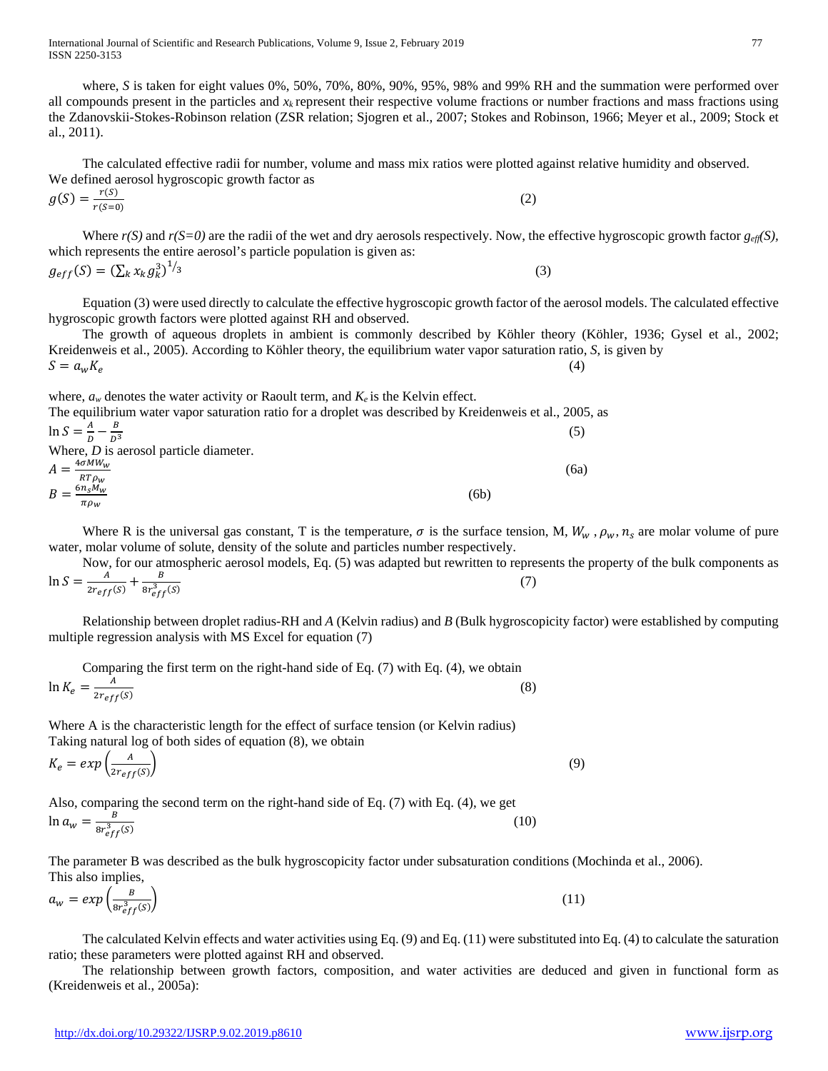<http://dx.doi.org/10.29322/IJSRP.9.02.2019.p8610> [www.ijsrp.org](http://ijsrp.org/)

International Journal of Scientific and Research Publications, Volume 9, Issue 2, February 2019 77 ISSN 2250-3153

where,  $a_w$  denotes the water activity or Raoult term, and  $K_e$  is the Kelvin effect.

where, *S* is taken for eight values 0%, 50%, 70%, 80%, 90%, 95%, 98% and 99% RH and the summation were performed over all compounds present in the particles and  $x_k$  represent their respective volume fractions or number fractions and mass fractions using the Zdanovskii-Stokes-Robinson relation (ZSR relation; Sjogren et al., 2007; Stokes and Robinson, 1966; Meyer et al., 2009; Stock et al., 2011).

 The calculated effective radii for number, volume and mass mix ratios were plotted against relative humidity and observed. We defined aerosol hygroscopic growth factor as

$$
g(S) = \frac{r(S)}{r(S=0)}\tag{2}
$$

 Where *r(S)* and *r(S=0)* are the radii of the wet and dry aerosols respectively. Now, the effective hygroscopic growth factor *geff(S),* which represents the entire aerosol's particle population is given as:  $g_{eff}(S) = (\sum_k x_k g_k^3)$  $^{1/3}$  (3)

 Equation (3) were used directly to calculate the effective hygroscopic growth factor of the aerosol models. The calculated effective hygroscopic growth factors were plotted against RH and observed.

 The growth of aqueous droplets in ambient is commonly described by Köhler theory (Köhler, 1936; Gysel et al., 2002; Kreidenweis et al., 2005). According to Köhler theory, the equilibrium water vapor saturation ratio, *S*, is given by  $S = a_w K_e$  (4)

The equilibrium water vapor saturation ratio for a droplet was described by Kreidenweis et al., 2005, as  $\ln S = \frac{A}{D} - \frac{B}{D^2}$  $\frac{b}{D^3}$  (5) Where, *D* is aerosol particle diameter.  $A = \frac{4\sigma M W_w}{2}$  $RT\rho_W$  (6a)  $B = \frac{6 n_s M_W}{\pi \rho_W}$ (6b)

Where R is the universal gas constant, T is the temperature,  $\sigma$  is the surface tension, M,  $W_w$ ,  $\rho_w$ ,  $n_s$  are molar volume of pure water, molar volume of solute, density of the solute and particles number respectively.

 Now, for our atmospheric aerosol models, Eq. (5) was adapted but rewritten to represents the property of the bulk components as  $\ln S = \frac{A}{2r_{eff}(S)} + \frac{B}{8r_{eff}^3}$  $\frac{B}{3}$  (7)

 Relationship between droplet radius-RH and *A* (Kelvin radius) and *B* (Bulk hygroscopicity factor) were established by computing multiple regression analysis with MS Excel for equation (7)

 Comparing the first term on the right-hand side of Eq. (7) with Eq. (4), we obtain  $\ln K_e = \frac{A}{2r_{eff}(S)}$  $\frac{2r_{eff}(S)}{r_{eff}(S)}$  (8)

Where A is the characteristic length for the effect of surface tension (or Kelvin radius) Taking natural log of both sides of equation (8), we obtain

$$
K_e = exp\left(\frac{A}{2r_{eff}(S)}\right) \tag{9}
$$

Also, comparing the second term on the right-hand side of Eq. (7) with Eq. (4), we get

$$
\ln a_w = \frac{B}{8r_{eff}^3(s)}\tag{10}
$$

The parameter B was described as the bulk hygroscopicity factor under subsaturation conditions (Mochinda et al., 2006). This also implies,

$$
a_w = \exp\left(\frac{B}{8r_{eff}^2(s)}\right) \tag{11}
$$

 The calculated Kelvin effects and water activities using Eq. (9) and Eq. (11) were substituted into Eq. (4) to calculate the saturation ratio; these parameters were plotted against RH and observed.

 The relationship between growth factors, composition, and water activities are deduced and given in functional form as (Kreidenweis et al., 2005a):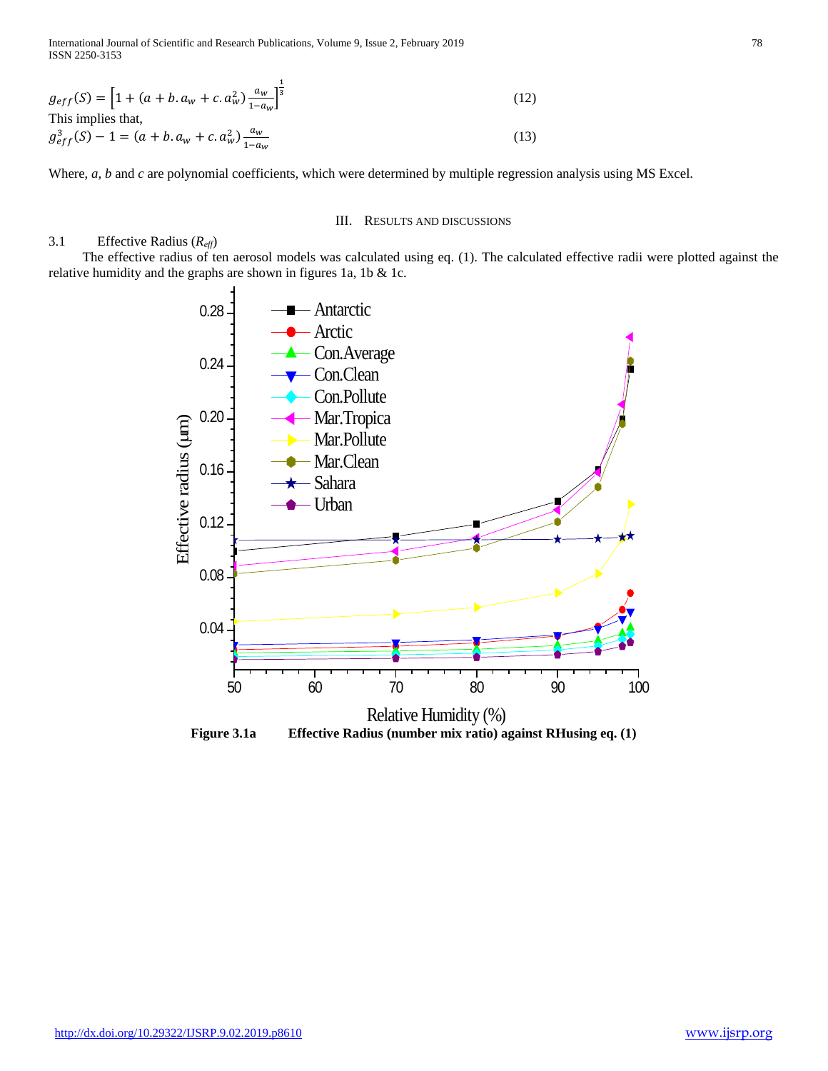International Journal of Scientific and Research Publications, Volume 9, Issue 2, February 2019 78 ISSN 2250-3153

$$
g_{eff}(S) = \left[1 + (a + b.a_w + c.a_w^2)\frac{a_w}{1 - a_w}\right]^{\frac{1}{3}}
$$
  
This implies that,  

$$
g_{eff}^3(S) - 1 = (a + b.a_w + c.a_w^2)\frac{a_w}{1 - a_w}
$$
 (13)

Where, *a*, *b* and *c* are polynomial coefficients, which were determined by multiple regression analysis using MS Excel.

#### III. RESULTS AND DISCUSSIONS

#### 3.1 Effective Radius (*Reff*)

 The effective radius of ten aerosol models was calculated using eq. (1). The calculated effective radii were plotted against the relative humidity and the graphs are shown in figures 1a, 1b & 1c.



**Figure 3.1a Effective Radius (number mix ratio) against RHusing eq. (1)**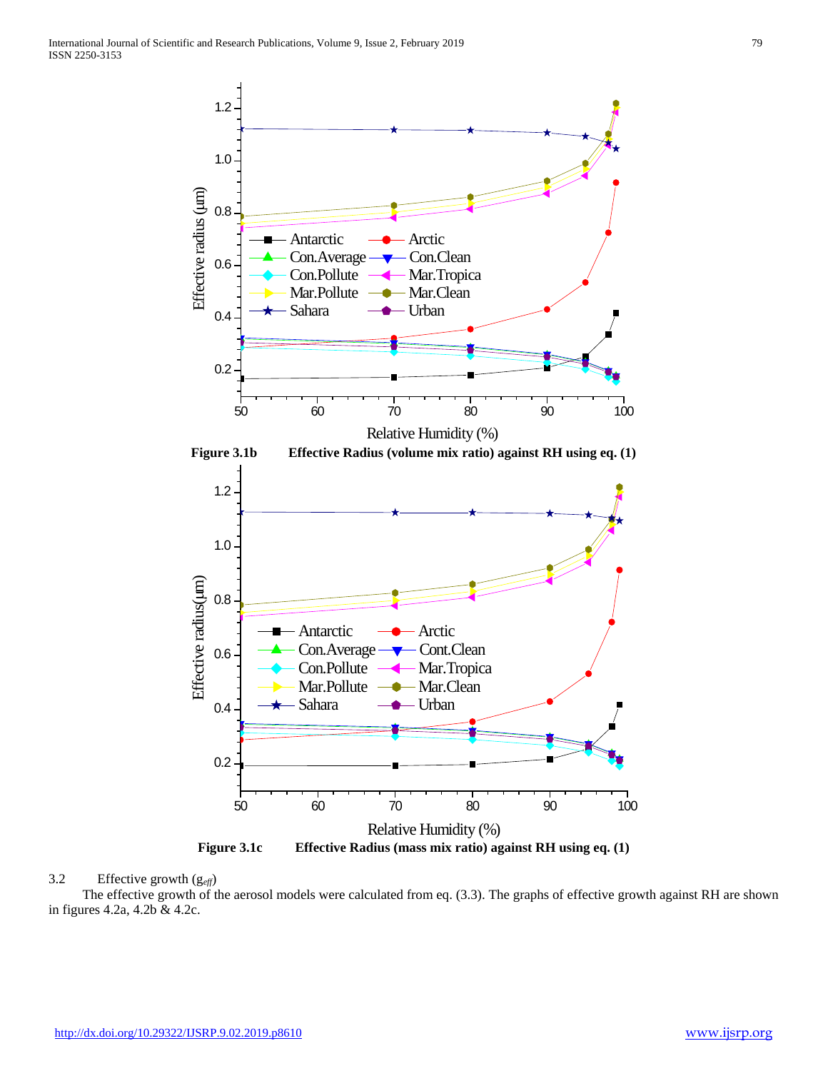



 The effective growth of the aerosol models were calculated from eq. (3.3). The graphs of effective growth against RH are shown in figures 4.2a, 4.2b & 4.2c.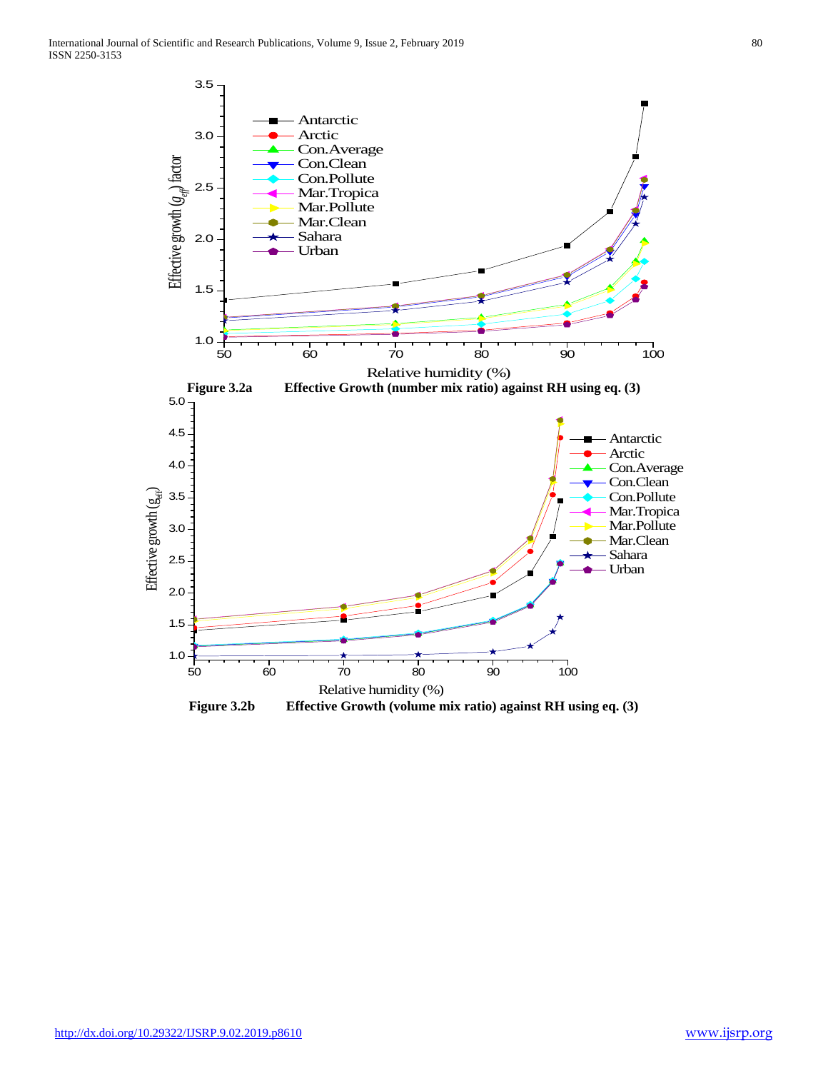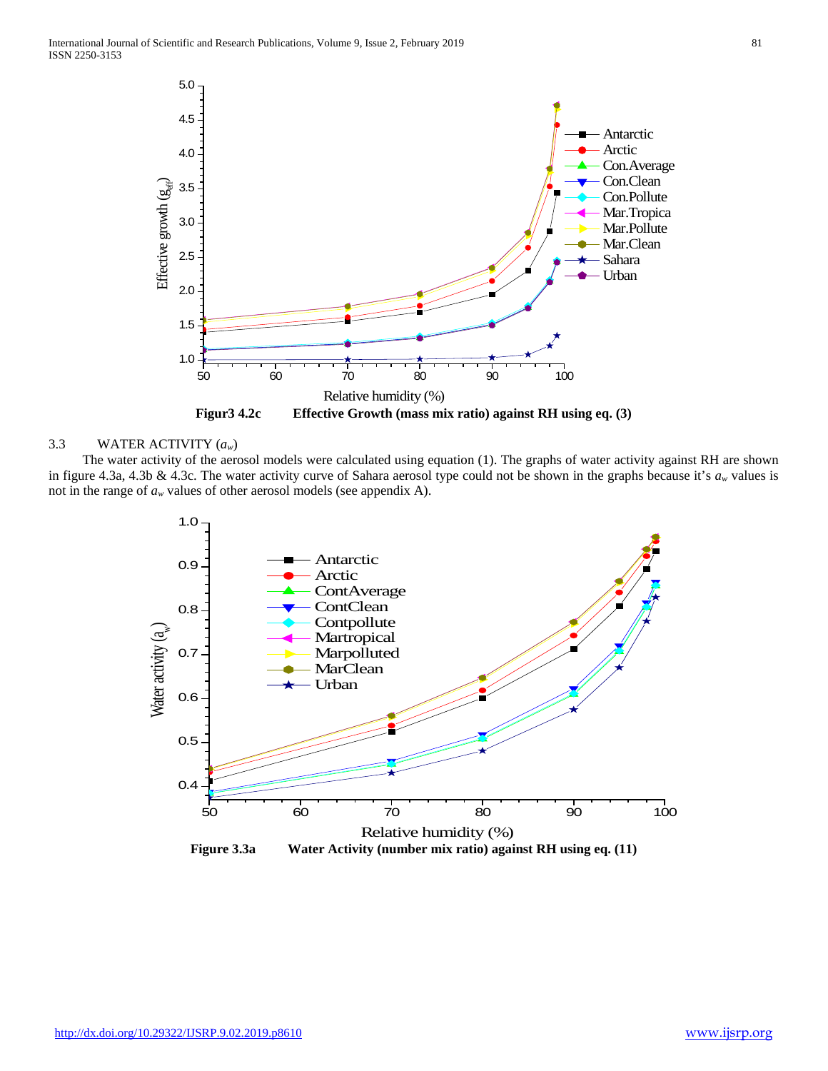

# 3.3 WATER ACTIVITY (*aw*)

 The water activity of the aerosol models were calculated using equation (1). The graphs of water activity against RH are shown in figure 4.3a, 4.3b & 4.3c. The water activity curve of Sahara aerosol type could not be shown in the graphs because it's *aw* values is not in the range of  $a_w$  values of other aerosol models (see appendix A).

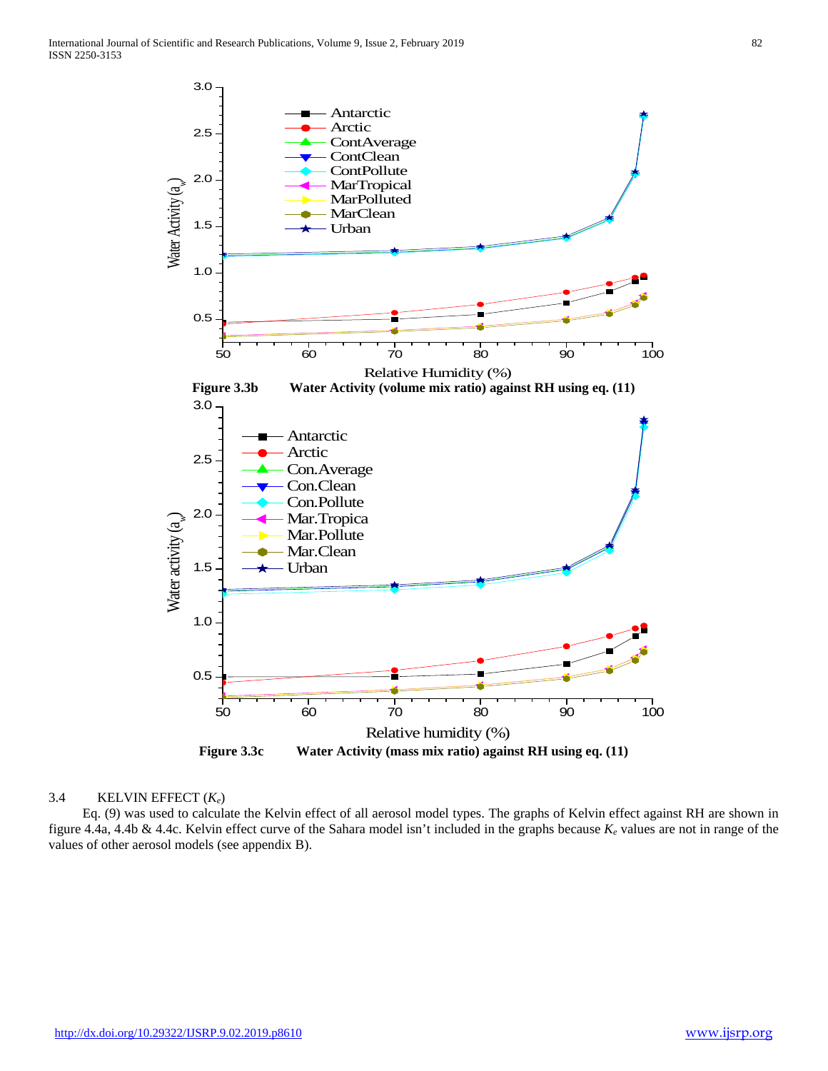

## 3.4 KELVIN EFFECT (*Ke*)

 Eq. (9) was used to calculate the Kelvin effect of all aerosol model types. The graphs of Kelvin effect against RH are shown in figure 4.4a, 4.4b & 4.4c. Kelvin effect curve of the Sahara model isn't included in the graphs because *Ke* values are not in range of the values of other aerosol models (see appendix B).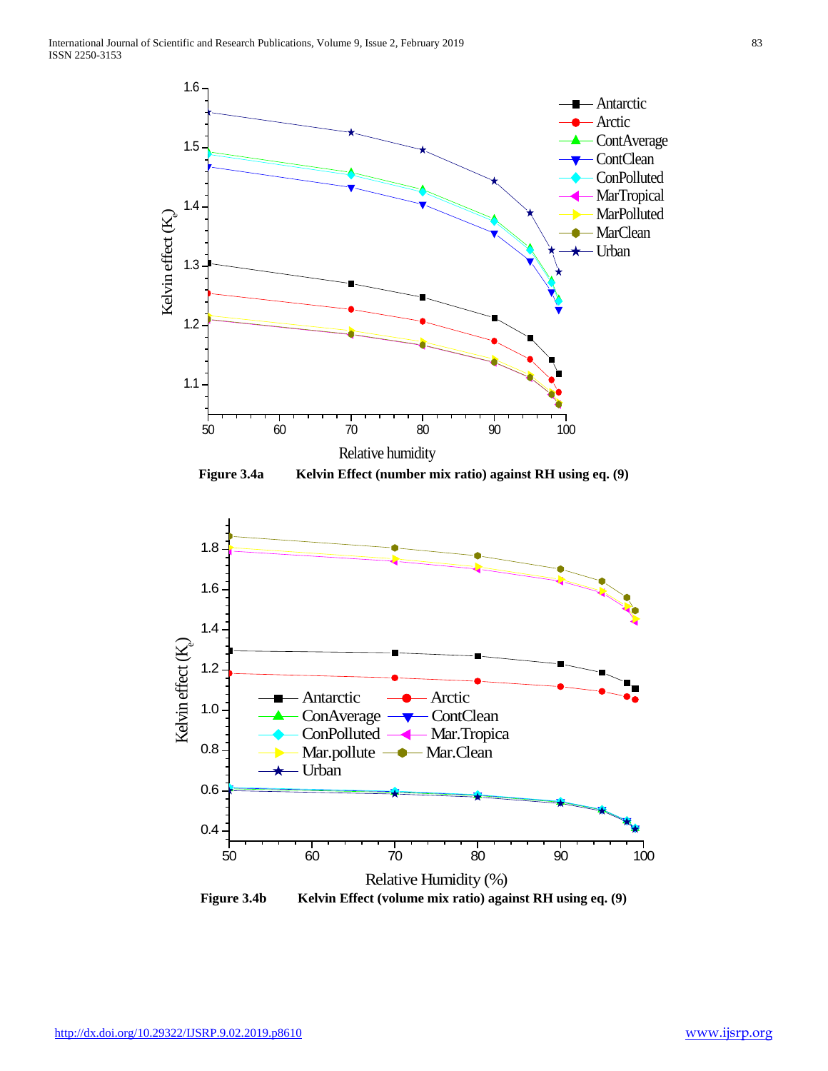

**Figure 3.4b Kelvin Effect (volume mix ratio) against RH using eq. (9)**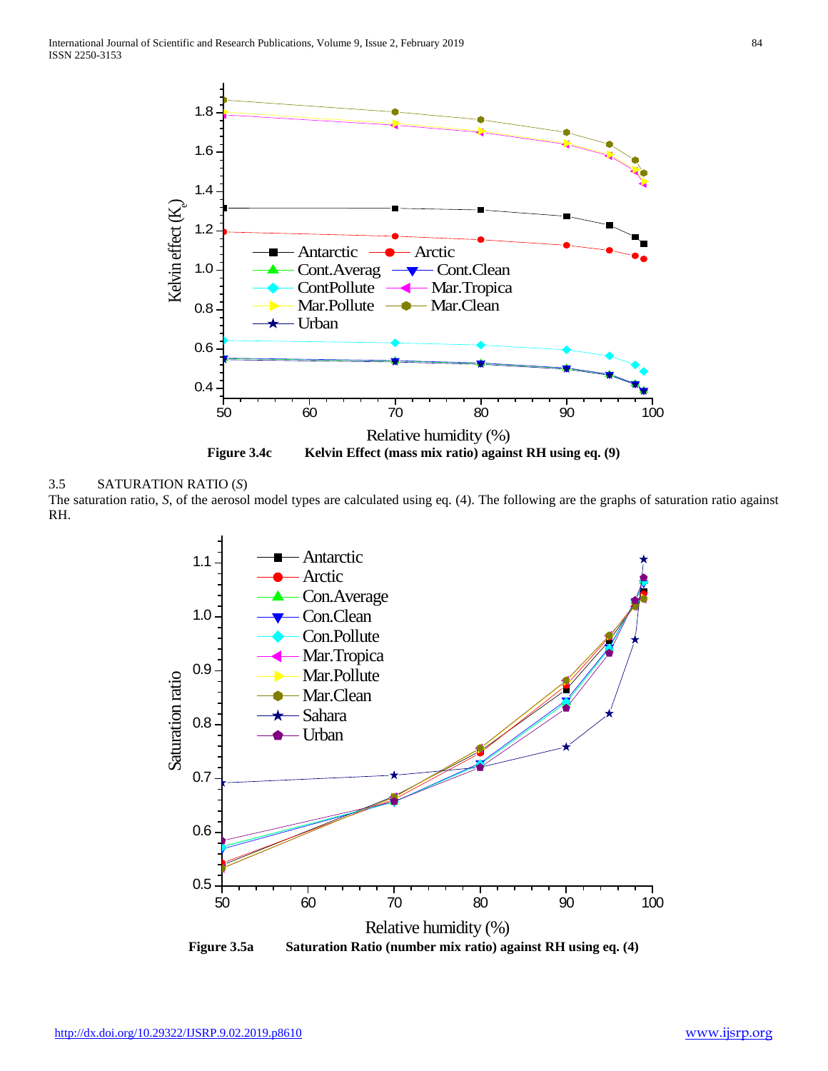

# 3.5 SATURATION RATIO (*S*)

The saturation ratio, *S*, of the aerosol model types are calculated using eq. (4). The following are the graphs of saturation ratio against RH.

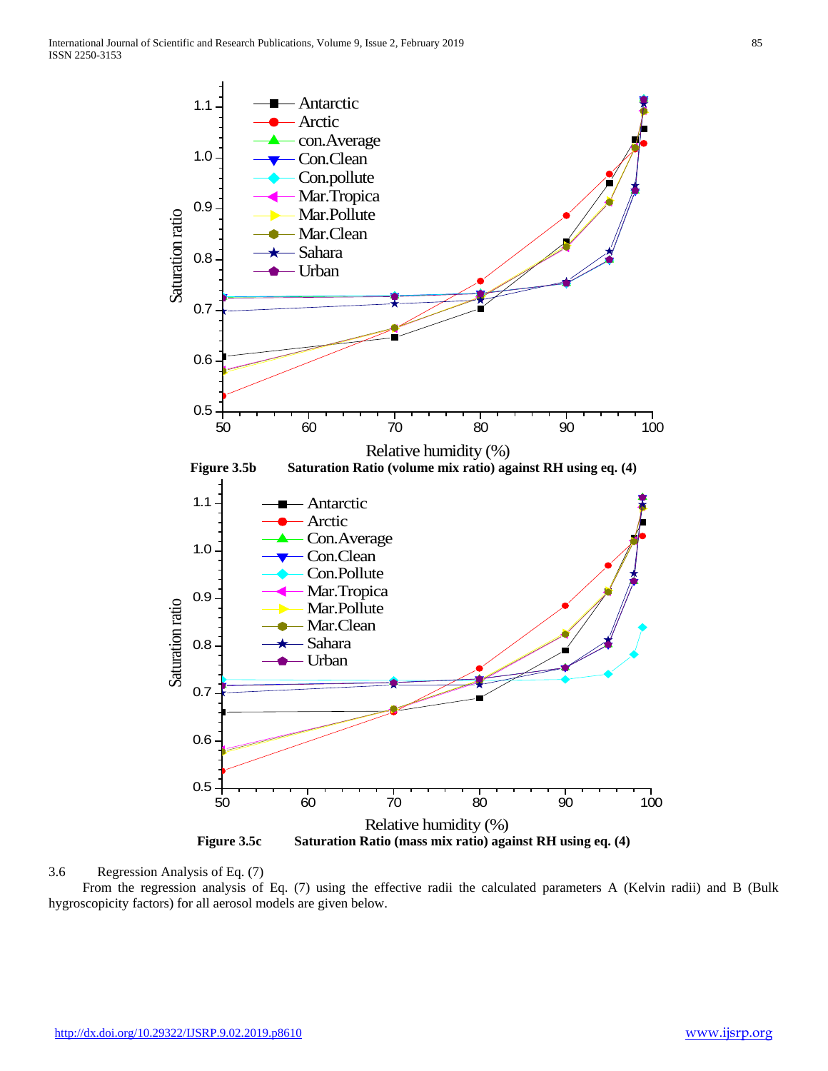



 From the regression analysis of Eq. (7) using the effective radii the calculated parameters A (Kelvin radii) and B (Bulk hygroscopicity factors) for all aerosol models are given below.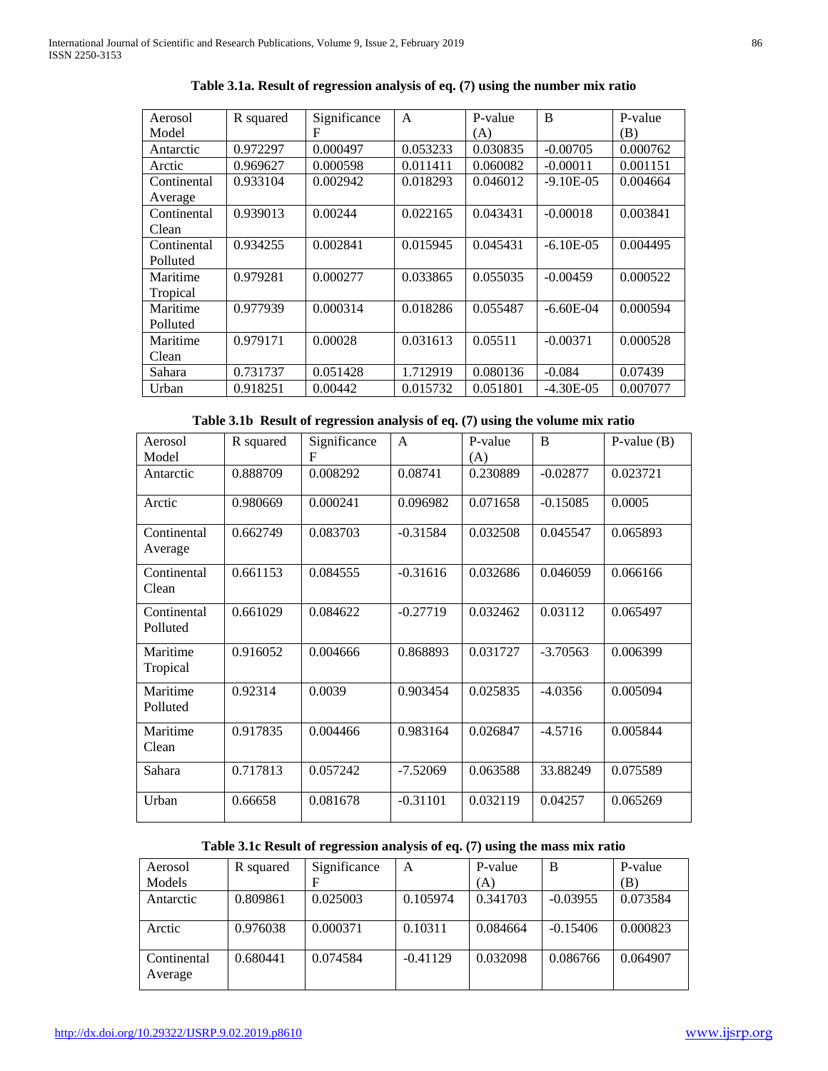| Aerosol     | R squared | Significance | A        | P-value  | B            | P-value  |
|-------------|-----------|--------------|----------|----------|--------------|----------|
| Model       |           | F            |          | (A)      |              | (B)      |
| Antarctic   | 0.972297  | 0.000497     | 0.053233 | 0.030835 | $-0.00705$   | 0.000762 |
| Arctic      | 0.969627  | 0.000598     | 0.011411 | 0.060082 | $-0.00011$   | 0.001151 |
| Continental | 0.933104  | 0.002942     | 0.018293 | 0.046012 | $-9.10E-0.5$ | 0.004664 |
| Average     |           |              |          |          |              |          |
| Continental | 0.939013  | 0.00244      | 0.022165 | 0.043431 | $-0.00018$   | 0.003841 |
| Clean       |           |              |          |          |              |          |
| Continental | 0.934255  | 0.002841     | 0.015945 | 0.045431 | $-6.10E-0.5$ | 0.004495 |
| Polluted    |           |              |          |          |              |          |
| Maritime    | 0.979281  | 0.000277     | 0.033865 | 0.055035 | $-0.00459$   | 0.000522 |
| Tropical    |           |              |          |          |              |          |
| Maritime    | 0.977939  | 0.000314     | 0.018286 | 0.055487 | $-6.60E-04$  | 0.000594 |
| Polluted    |           |              |          |          |              |          |
| Maritime    | 0.979171  | 0.00028      | 0.031613 | 0.05511  | $-0.00371$   | 0.000528 |
| Clean       |           |              |          |          |              |          |
| Sahara      | 0.731737  | 0.051428     | 1.712919 | 0.080136 | $-0.084$     | 0.07439  |
| Urban       | 0.918251  | 0.00442      | 0.015732 | 0.051801 | $-4.30E-05$  | 0.007077 |

**Table 3.1a. Result of regression analysis of eq. (7) using the number mix ratio**

|  |  |  | Table 3.1b Result of regression analysis of eq. (7) using the volume mix ratio |  |  |  |
|--|--|--|--------------------------------------------------------------------------------|--|--|--|
|--|--|--|--------------------------------------------------------------------------------|--|--|--|

| Aerosol                 | R squared | Significance | A          | P-value  | B          | $P-value(B)$ |
|-------------------------|-----------|--------------|------------|----------|------------|--------------|
| Model                   |           | F            |            | (A)      |            |              |
| Antarctic               | 0.888709  | 0.008292     | 0.08741    | 0.230889 | $-0.02877$ | 0.023721     |
| Arctic                  | 0.980669  | 0.000241     | 0.096982   | 0.071658 | $-0.15085$ | 0.0005       |
| Continental<br>Average  | 0.662749  | 0.083703     | $-0.31584$ | 0.032508 | 0.045547   | 0.065893     |
| Continental<br>Clean    | 0.661153  | 0.084555     | $-0.31616$ | 0.032686 | 0.046059   | 0.066166     |
| Continental<br>Polluted | 0.661029  | 0.084622     | $-0.27719$ | 0.032462 | 0.03112    | 0.065497     |
| Maritime<br>Tropical    | 0.916052  | 0.004666     | 0.868893   | 0.031727 | $-3.70563$ | 0.006399     |
| Maritime<br>Polluted    | 0.92314   | 0.0039       | 0.903454   | 0.025835 | $-4.0356$  | 0.005094     |
| Maritime<br>Clean       | 0.917835  | 0.004466     | 0.983164   | 0.026847 | $-4.5716$  | 0.005844     |
| Sahara                  | 0.717813  | 0.057242     | $-7.52069$ | 0.063588 | 33.88249   | 0.075589     |
| Urban                   | 0.66658   | 0.081678     | $-0.31101$ | 0.032119 | 0.04257    | 0.065269     |

# **Table 3.1c Result of regression analysis of eq. (7) using the mass mix ratio**

| Aerosol                | R squared | Significance | А          | P-value  | B          | P-value  |
|------------------------|-----------|--------------|------------|----------|------------|----------|
| Models                 |           |              |            | (A)      |            | (B)      |
| Antarctic              | 0.809861  | 0.025003     | 0.105974   | 0.341703 | $-0.03955$ | 0.073584 |
| Arctic                 | 0.976038  | 0.000371     | 0.10311    | 0.084664 | $-0.15406$ | 0.000823 |
| Continental<br>Average | 0.680441  | 0.074584     | $-0.41129$ | 0.032098 | 0.086766   | 0.064907 |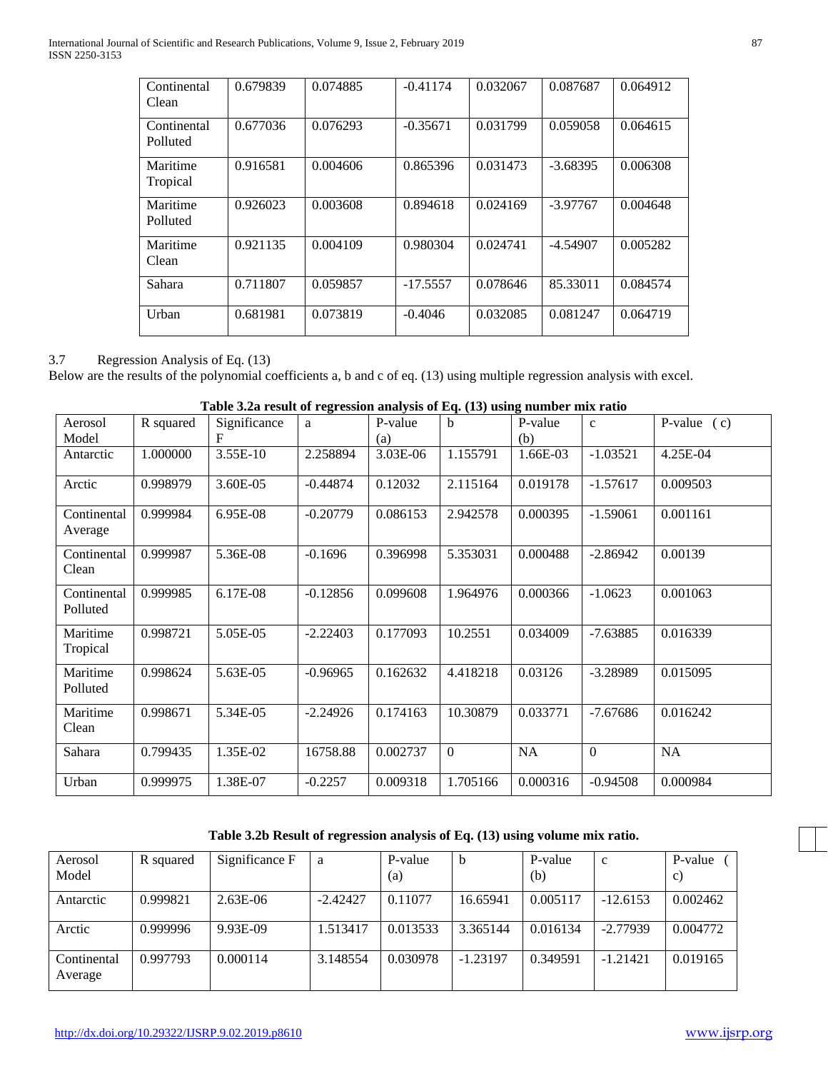| Continental<br>Clean    | 0.679839 | 0.074885 | $-0.41174$ | 0.032067 | 0.087687   | 0.064912 |
|-------------------------|----------|----------|------------|----------|------------|----------|
| Continental<br>Polluted | 0.677036 | 0.076293 | $-0.35671$ | 0.031799 | 0.059058   | 0.064615 |
| Maritime<br>Tropical    | 0.916581 | 0.004606 | 0.865396   | 0.031473 | $-3.68395$ | 0.006308 |
| Maritime<br>Polluted    | 0.926023 | 0.003608 | 0.894618   | 0.024169 | $-3.97767$ | 0.004648 |
| Maritime<br>Clean       | 0.921135 | 0.004109 | 0.980304   | 0.024741 | $-4.54907$ | 0.005282 |
| Sahara                  | 0.711807 | 0.059857 | $-17.5557$ | 0.078646 | 85.33011   | 0.084574 |
| Urban                   | 0.681981 | 0.073819 | $-0.4046$  | 0.032085 | 0.081247   | 0.064719 |

# 3.7 Regression Analysis of Eq. (13)

Below are the results of the polynomial coefficients a, b and c of eq. (13) using multiple regression analysis with excel.

| Aerosol                 | R squared | Table staat tesult of regression analysis of Eq. (19) using number link ratio<br>Significance | a          | P-value         | $\mathbf{h}$ | P-value         | $\mathbf{C}$     | P-value $(c)$ |
|-------------------------|-----------|-----------------------------------------------------------------------------------------------|------------|-----------------|--------------|-----------------|------------------|---------------|
| Model<br>Antarctic      | 1.000000  | F<br>$3.55E-10$                                                                               | 2.258894   | (a)<br>3.03E-06 | 1.155791     | (b)<br>1.66E-03 | $-1.03521$       | $4.25E-04$    |
| Arctic                  | 0.998979  | 3.60E-05                                                                                      | $-0.44874$ | 0.12032         | 2.115164     | 0.019178        | $-1.57617$       | 0.009503      |
|                         |           |                                                                                               |            |                 |              |                 |                  |               |
| Continental<br>Average  | 0.999984  | 6.95E-08                                                                                      | $-0.20779$ | 0.086153        | 2.942578     | 0.000395        | $-1.59061$       | 0.001161      |
| Continental<br>Clean    | 0.999987  | 5.36E-08                                                                                      | $-0.1696$  | 0.396998        | 5.353031     | 0.000488        | $-2.86942$       | 0.00139       |
| Continental<br>Polluted | 0.999985  | 6.17E-08                                                                                      | $-0.12856$ | 0.099608        | 1.964976     | 0.000366        | $-1.0623$        | 0.001063      |
| Maritime<br>Tropical    | 0.998721  | 5.05E-05                                                                                      | $-2.22403$ | 0.177093        | 10.2551      | 0.034009        | $-7.63885$       | 0.016339      |
| Maritime<br>Polluted    | 0.998624  | 5.63E-05                                                                                      | $-0.96965$ | 0.162632        | 4.418218     | 0.03126         | $-3.28989$       | 0.015095      |
| Maritime<br>Clean       | 0.998671  | 5.34E-05                                                                                      | $-2.24926$ | 0.174163        | 10.30879     | 0.033771        | $-7.67686$       | 0.016242      |
| Sahara                  | 0.799435  | 1.35E-02                                                                                      | 16758.88   | 0.002737        | $\theta$     | NA              | $\boldsymbol{0}$ | NA            |
| Urban                   | 0.999975  | 1.38E-07                                                                                      | $-0.2257$  | 0.009318        | 1.705166     | 0.000316        | $-0.94508$       | 0.000984      |

# **Table 3.2a result of regression analysis of Eq. (13) using number mix ratio**

# **Table 3.2b Result of regression analysis of Eq. (13) using volume mix ratio.**

| Aerosol                | R squared | Significance F | a          | P-value  | b          | P-value  | $\mathbf c$ | P-value  |
|------------------------|-----------|----------------|------------|----------|------------|----------|-------------|----------|
| Model                  |           |                |            | (a)      |            | (b)      |             | C)       |
| Antarctic              | 0.999821  | $2.63E-06$     | $-2.42427$ | 0.11077  | 16.65941   | 0.005117 | $-12.6153$  | 0.002462 |
| Arctic                 | 0.999996  | 9.93E-09       | 1.513417   | 0.013533 | 3.365144   | 0.016134 | $-2.77939$  | 0.004772 |
| Continental<br>Average | 0.997793  | 0.000114       | 3.148554   | 0.030978 | $-1.23197$ | 0.349591 | $-1.21421$  | 0.019165 |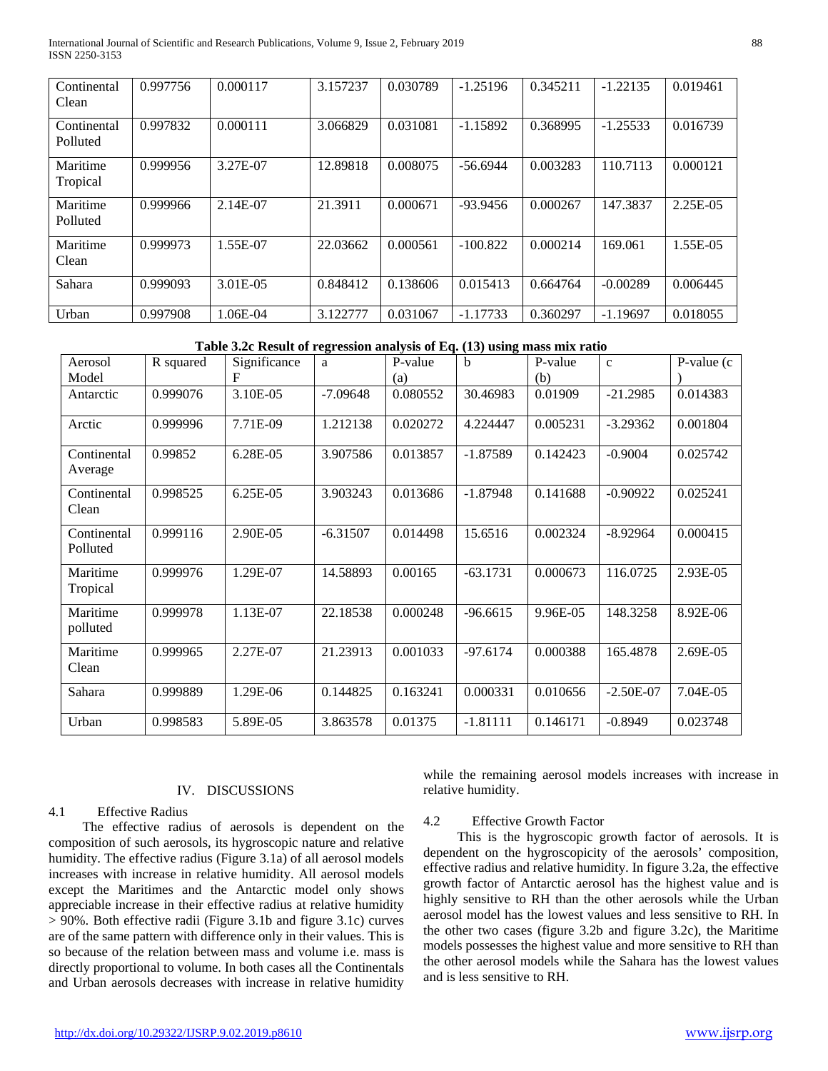International Journal of Scientific and Research Publications, Volume 9, Issue 2, February 2019 88 ISSN 2250-3153

| Continental<br>Clean    | 0.997756 | 0.000117 | 3.157237 | 0.030789 | $-1.25196$ | 0.345211 | $-1.22135$ | 0.019461 |
|-------------------------|----------|----------|----------|----------|------------|----------|------------|----------|
| Continental<br>Polluted | 0.997832 | 0.000111 | 3.066829 | 0.031081 | $-1.15892$ | 0.368995 | $-1.25533$ | 0.016739 |
| Maritime<br>Tropical    | 0.999956 | 3.27E-07 | 12.89818 | 0.008075 | $-56.6944$ | 0.003283 | 110.7113   | 0.000121 |
| Maritime<br>Polluted    | 0.999966 | 2.14E-07 | 21.3911  | 0.000671 | $-93.9456$ | 0.000267 | 147.3837   | 2.25E-05 |
| Maritime<br>Clean       | 0.999973 | 1.55E-07 | 22.03662 | 0.000561 | $-100.822$ | 0.000214 | 169.061    | 1.55E-05 |
| Sahara                  | 0.999093 | 3.01E-05 | 0.848412 | 0.138606 | 0.015413   | 0.664764 | $-0.00289$ | 0.006445 |
| Urban                   | 0.997908 | 1.06E-04 | 3.122777 | 0.031067 | $-1.17733$ | 0.360297 | $-1.19697$ | 0.018055 |

| Table 3.2c Result of regression analysis of Eq. (13) using mass mix ratio |  |  |  |
|---------------------------------------------------------------------------|--|--|--|
|---------------------------------------------------------------------------|--|--|--|

| Aerosol<br>Model        | R squared | Significance<br>F | a          | P-value         | $\mathbf b$ | P-value<br>(b) | $\mathbf{C}$ | P-value (c) |
|-------------------------|-----------|-------------------|------------|-----------------|-------------|----------------|--------------|-------------|
| Antarctic               | 0.999076  | 3.10E-05          | $-7.09648$ | (a)<br>0.080552 | 30.46983    | 0.01909        | $-21.2985$   | 0.014383    |
|                         |           |                   |            |                 |             |                |              |             |
| Arctic                  | 0.999996  | 7.71E-09          | 1.212138   | 0.020272        | 4.224447    | 0.005231       | $-3.29362$   | 0.001804    |
| Continental<br>Average  | 0.99852   | 6.28E-05          | 3.907586   | 0.013857        | $-1.87589$  | 0.142423       | $-0.9004$    | 0.025742    |
| Continental<br>Clean    | 0.998525  | $6.25E-05$        | 3.903243   | 0.013686        | $-1.87948$  | 0.141688       | $-0.90922$   | 0.025241    |
| Continental<br>Polluted | 0.999116  | 2.90E-05          | $-6.31507$ | 0.014498        | 15.6516     | 0.002324       | $-8.92964$   | 0.000415    |
| Maritime<br>Tropical    | 0.999976  | 1.29E-07          | 14.58893   | 0.00165         | $-63.1731$  | 0.000673       | 116.0725     | 2.93E-05    |
| Maritime<br>polluted    | 0.999978  | 1.13E-07          | 22.18538   | 0.000248        | $-96.6615$  | 9.96E-05       | 148.3258     | 8.92E-06    |
| Maritime<br>Clean       | 0.999965  | 2.27E-07          | 21.23913   | 0.001033        | $-97.6174$  | 0.000388       | 165.4878     | 2.69E-05    |
| Sahara                  | 0.999889  | 1.29E-06          | 0.144825   | 0.163241        | 0.000331    | 0.010656       | $-2.50E-07$  | 7.04E-05    |
| Urban                   | 0.998583  | 5.89E-05          | 3.863578   | 0.01375         | $-1.81111$  | 0.146171       | $-0.8949$    | 0.023748    |

#### IV. DISCUSSIONS

# 4.1 Effective Radius

 The effective radius of aerosols is dependent on the composition of such aerosols, its hygroscopic nature and relative humidity. The effective radius (Figure 3.1a) of all aerosol models increases with increase in relative humidity. All aerosol models except the Maritimes and the Antarctic model only shows appreciable increase in their effective radius at relative humidity > 90%. Both effective radii (Figure 3.1b and figure 3.1c) curves are of the same pattern with difference only in their values. This is so because of the relation between mass and volume i.e. mass is directly proportional to volume. In both cases all the Continentals and Urban aerosols decreases with increase in relative humidity

while the remaining aerosol models increases with increase in relative humidity.

## 4.2 Effective Growth Factor

 This is the hygroscopic growth factor of aerosols. It is dependent on the hygroscopicity of the aerosols' composition, effective radius and relative humidity. In figure 3.2a, the effective growth factor of Antarctic aerosol has the highest value and is highly sensitive to RH than the other aerosols while the Urban aerosol model has the lowest values and less sensitive to RH. In the other two cases (figure 3.2b and figure 3.2c), the Maritime models possesses the highest value and more sensitive to RH than the other aerosol models while the Sahara has the lowest values and is less sensitive to RH.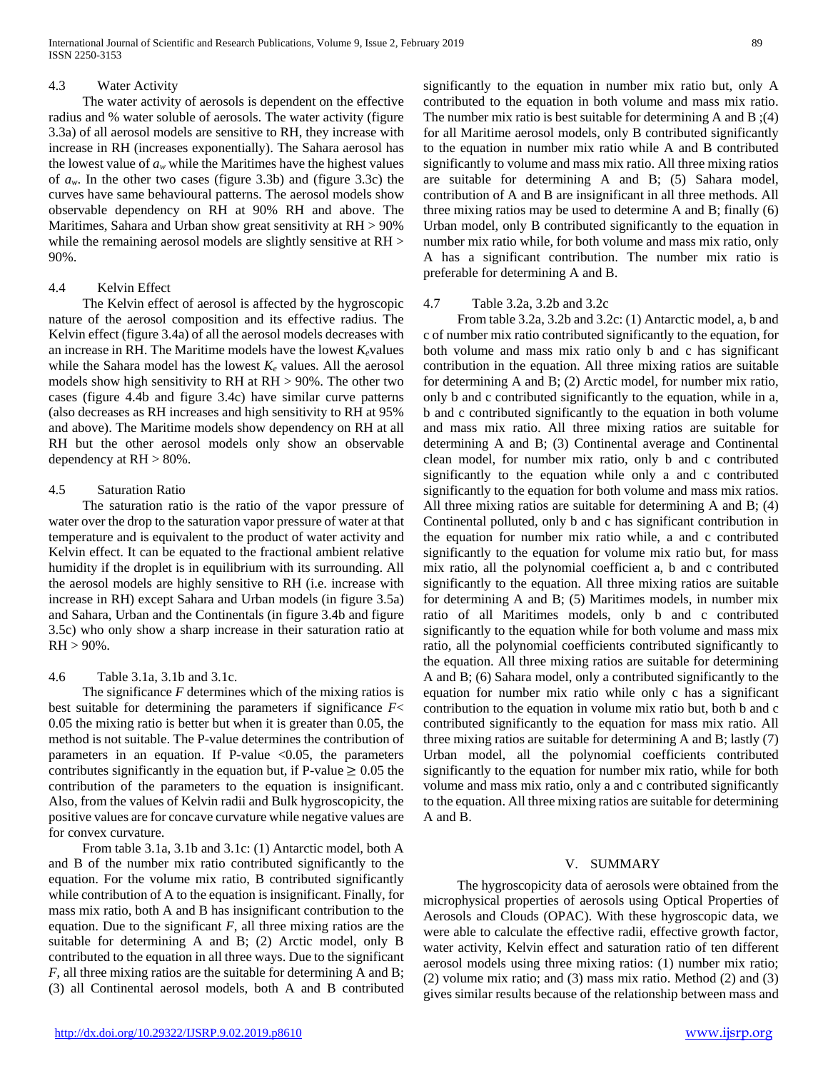#### 4.3 Water Activity

 The water activity of aerosols is dependent on the effective radius and % water soluble of aerosols. The water activity (figure 3.3a) of all aerosol models are sensitive to RH, they increase with increase in RH (increases exponentially). The Sahara aerosol has the lowest value of  $a_w$  while the Maritimes have the highest values of *aw*. In the other two cases (figure 3.3b) and (figure 3.3c) the curves have same behavioural patterns. The aerosol models show observable dependency on RH at 90% RH and above. The Maritimes, Sahara and Urban show great sensitivity at RH > 90% while the remaining aerosol models are slightly sensitive at RH > 90%.

## 4.4 Kelvin Effect

 The Kelvin effect of aerosol is affected by the hygroscopic nature of the aerosol composition and its effective radius. The Kelvin effect (figure 3.4a) of all the aerosol models decreases with an increase in RH. The Maritime models have the lowest  $K_e$  values while the Sahara model has the lowest  $K_e$  values. All the aerosol models show high sensitivity to RH at RH > 90%. The other two cases (figure 4.4b and figure 3.4c) have similar curve patterns (also decreases as RH increases and high sensitivity to RH at 95% and above). The Maritime models show dependency on RH at all RH but the other aerosol models only show an observable dependency at RH > 80%.

# 4.5 Saturation Ratio

 The saturation ratio is the ratio of the vapor pressure of water over the drop to the saturation vapor pressure of water at that temperature and is equivalent to the product of water activity and Kelvin effect. It can be equated to the fractional ambient relative humidity if the droplet is in equilibrium with its surrounding. All the aerosol models are highly sensitive to RH (i.e. increase with increase in RH) except Sahara and Urban models (in figure 3.5a) and Sahara, Urban and the Continentals (in figure 3.4b and figure 3.5c) who only show a sharp increase in their saturation ratio at  $RH > 90\%$ .

## 4.6 Table 3.1a, 3.1b and 3.1c.

 The significance *F* determines which of the mixing ratios is best suitable for determining the parameters if significance *F*< 0.05 the mixing ratio is better but when it is greater than 0.05, the method is not suitable. The P-value determines the contribution of parameters in an equation. If P-value  $\langle 0.05 \rangle$ , the parameters contributes significantly in the equation but, if P-value  $\geq 0.05$  the contribution of the parameters to the equation is insignificant. Also, from the values of Kelvin radii and Bulk hygroscopicity, the positive values are for concave curvature while negative values are for convex curvature.

 From table 3.1a, 3.1b and 3.1c: (1) Antarctic model, both A and B of the number mix ratio contributed significantly to the equation. For the volume mix ratio, B contributed significantly while contribution of A to the equation is insignificant. Finally, for mass mix ratio, both A and B has insignificant contribution to the equation. Due to the significant  $F$ , all three mixing ratios are the suitable for determining A and B; (2) Arctic model, only B contributed to the equation in all three ways. Due to the significant *F*, all three mixing ratios are the suitable for determining A and B; (3) all Continental aerosol models, both A and B contributed

significantly to the equation in number mix ratio but, only A contributed to the equation in both volume and mass mix ratio. The number mix ratio is best suitable for determining A and B  $(4)$ for all Maritime aerosol models, only B contributed significantly to the equation in number mix ratio while A and B contributed significantly to volume and mass mix ratio. All three mixing ratios are suitable for determining A and B; (5) Sahara model, contribution of A and B are insignificant in all three methods. All three mixing ratios may be used to determine A and B; finally (6) Urban model, only B contributed significantly to the equation in number mix ratio while, for both volume and mass mix ratio, only A has a significant contribution. The number mix ratio is preferable for determining A and B.

## 4.7 Table 3.2a, 3.2b and 3.2c

 From table 3.2a, 3.2b and 3.2c: (1) Antarctic model, a, b and c of number mix ratio contributed significantly to the equation, for both volume and mass mix ratio only b and c has significant contribution in the equation. All three mixing ratios are suitable for determining A and B; (2) Arctic model, for number mix ratio, only b and c contributed significantly to the equation, while in a, b and c contributed significantly to the equation in both volume and mass mix ratio. All three mixing ratios are suitable for determining A and B; (3) Continental average and Continental clean model, for number mix ratio, only b and c contributed significantly to the equation while only a and c contributed significantly to the equation for both volume and mass mix ratios. All three mixing ratios are suitable for determining A and B; (4) Continental polluted, only b and c has significant contribution in the equation for number mix ratio while, a and c contributed significantly to the equation for volume mix ratio but, for mass mix ratio, all the polynomial coefficient a, b and c contributed significantly to the equation. All three mixing ratios are suitable for determining A and B; (5) Maritimes models, in number mix ratio of all Maritimes models, only b and c contributed significantly to the equation while for both volume and mass mix ratio, all the polynomial coefficients contributed significantly to the equation. All three mixing ratios are suitable for determining A and B; (6) Sahara model, only a contributed significantly to the equation for number mix ratio while only c has a significant contribution to the equation in volume mix ratio but, both b and c contributed significantly to the equation for mass mix ratio. All three mixing ratios are suitable for determining A and B; lastly (7) Urban model, all the polynomial coefficients contributed significantly to the equation for number mix ratio, while for both volume and mass mix ratio, only a and c contributed significantly to the equation. All three mixing ratios are suitable for determining A and B.

#### V. SUMMARY

 The hygroscopicity data of aerosols were obtained from the microphysical properties of aerosols using Optical Properties of Aerosols and Clouds (OPAC). With these hygroscopic data, we were able to calculate the effective radii, effective growth factor, water activity, Kelvin effect and saturation ratio of ten different aerosol models using three mixing ratios: (1) number mix ratio; (2) volume mix ratio; and (3) mass mix ratio. Method (2) and (3) gives similar results because of the relationship between mass and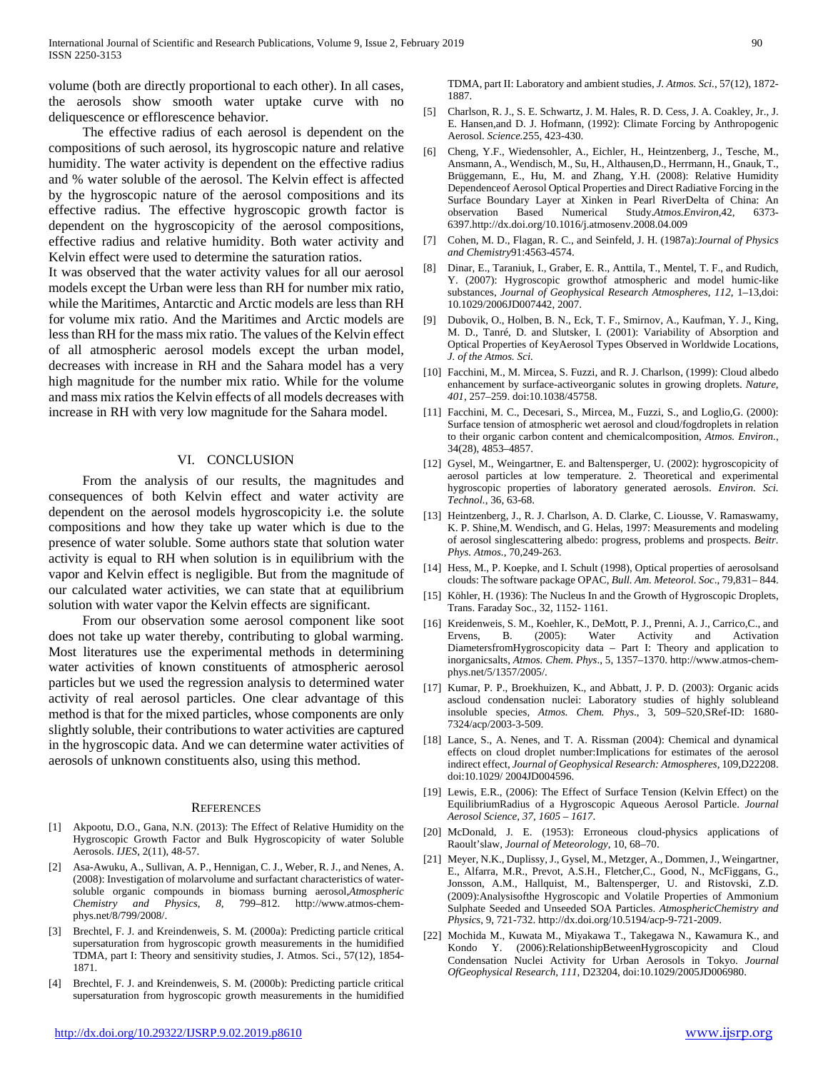volume (both are directly proportional to each other). In all cases, the aerosols show smooth water uptake curve with no deliquescence or efflorescence behavior.

 The effective radius of each aerosol is dependent on the compositions of such aerosol, its hygroscopic nature and relative humidity. The water activity is dependent on the effective radius and % water soluble of the aerosol. The Kelvin effect is affected by the hygroscopic nature of the aerosol compositions and its effective radius. The effective hygroscopic growth factor is dependent on the hygroscopicity of the aerosol compositions, effective radius and relative humidity. Both water activity and Kelvin effect were used to determine the saturation ratios.

It was observed that the water activity values for all our aerosol models except the Urban were less than RH for number mix ratio, while the Maritimes, Antarctic and Arctic models are less than RH for volume mix ratio. And the Maritimes and Arctic models are less than RH for the mass mix ratio. The values of the Kelvin effect of all atmospheric aerosol models except the urban model, decreases with increase in RH and the Sahara model has a very high magnitude for the number mix ratio. While for the volume and mass mix ratios the Kelvin effects of all models decreases with increase in RH with very low magnitude for the Sahara model.

#### VI. CONCLUSION

 From the analysis of our results, the magnitudes and consequences of both Kelvin effect and water activity are dependent on the aerosol models hygroscopicity i.e. the solute compositions and how they take up water which is due to the presence of water soluble. Some authors state that solution water activity is equal to RH when solution is in equilibrium with the vapor and Kelvin effect is negligible. But from the magnitude of our calculated water activities, we can state that at equilibrium solution with water vapor the Kelvin effects are significant.

 From our observation some aerosol component like soot does not take up water thereby, contributing to global warming. Most literatures use the experimental methods in determining water activities of known constituents of atmospheric aerosol particles but we used the regression analysis to determined water activity of real aerosol particles. One clear advantage of this method is that for the mixed particles, whose components are only slightly soluble, their contributions to water activities are captured in the hygroscopic data. And we can determine water activities of aerosols of unknown constituents also, using this method.

#### **REFERENCES**

- [1] Akpootu, D.O., Gana, N.N. (2013): The Effect of Relative Humidity on the Hygroscopic Growth Factor and Bulk Hygroscopicity of water Soluble Aerosols. *IJES*, 2(11), 48-57.
- [2] Asa-Awuku, A., Sullivan, A. P., Hennigan, C. J., Weber, R. J., and Nenes, A. (2008): Investigation of molarvolume and surfactant characteristics of watersoluble organic compounds in biomass burning aerosol,*Atmospheric Chemistry and Physics*, *8*, 799–812. http://www.atmos-chemphys.net/8/799/2008/.
- [3] Brechtel, F. J. and Kreindenweis, S. M. (2000a): Predicting particle critical supersaturation from hygroscopic growth measurements in the humidified TDMA, part I: Theory and sensitivity studies, J. Atmos. Sci., 57(12), 1854- 1871.
- [4] Brechtel, F. J. and Kreindenweis, S. M. (2000b): Predicting particle critical supersaturation from hygroscopic growth measurements in the humidified

TDMA, part II: Laboratory and ambient studies, *J. Atmos. Sci.*, 57(12), 1872- 1887.

- [5] Charlson, R. J., S. E. Schwartz, J. M. Hales, R. D. Cess, J. A. Coakley, Jr., J. E. Hansen,and D. J. Hofmann, (1992): Climate Forcing by Anthropogenic Aerosol. *Science.*255, 423-430.
- [6] Cheng, Y.F., Wiedensohler, A., Eichler, H., Heintzenberg, J., Tesche, M., Ansmann, A., Wendisch, M., Su, H., Althausen,D., Herrmann, H., Gnauk, T., Brüggemann, E., Hu, M. and Zhang, Y.H. (2008): Relative Humidity Dependenceof Aerosol Optical Properties and Direct Radiative Forcing in the Surface Boundary Layer at Xinken in Pearl RiverDelta of China: An observation Based Numerical Study.*Atmos.Environ*,42, 6373- 6397.http://dx.doi.org/10.1016/j.atmosenv.2008.04.009
- [7] Cohen, M. D., Flagan, R. C., and Seinfeld, J. H. (1987a):*Journal of Physics and Chemistry*91:4563-4574.
- [8] Dinar, E., Taraniuk, I., Graber, E. R., Anttila, T., Mentel, T. F., and Rudich, Y. (2007): Hygroscopic growthof atmospheric and model humic-like substances, *Journal of Geophysical Research Atmospheres*, *112*, 1–13,doi: 10.1029/2006JD007442, 2007.
- [9] Dubovik, O., Holben, B. N., Eck, T. F., Smirnov, A., Kaufman, Y. J., King, M. D., Tanré, D. and Slutsker, I. (2001): Variability of Absorption and Optical Properties of KeyAerosol Types Observed in Worldwide Locations, *J. of the Atmos. Sci.*
- [10] Facchini, M., M. Mircea, S. Fuzzi, and R. J. Charlson, (1999): Cloud albedo enhancement by surface-activeorganic solutes in growing droplets. *Nature*, *401*, 257–259. doi:10.1038/45758.
- [11] Facchini, M. C., Decesari, S., Mircea, M., Fuzzi, S., and Loglio, G. (2000): Surface tension of atmospheric wet aerosol and cloud/fogdroplets in relation to their organic carbon content and chemicalcomposition, *Atmos. Environ.*, 34(28), 4853–4857.
- [12] Gysel, M., Weingartner, E. and Baltensperger, U. (2002): hygroscopicity of aerosol particles at low temperature. 2. Theoretical and experimental hygroscopic properties of laboratory generated aerosols. *Environ. Sci. Technol.*, 36, 63-68.
- [13] Heintzenberg, J., R. J. Charlson, A. D. Clarke, C. Liousse, V. Ramaswamy, K. P. Shine,M. Wendisch, and G. Helas, 1997: Measurements and modeling of aerosol singlescattering albedo: progress, problems and prospects. *Beitr. Phys. Atmos.,* 70*,*249-263.
- [14] Hess, M., P. Koepke, and I. Schult (1998), Optical properties of aerosolsand clouds: The software package OPAC, *Bull. Am. Meteorol. Soc*., 79,831– 844.
- [15] Köhler, H. (1936): The Nucleus In and the Growth of Hygroscopic Droplets, Trans. Faraday Soc., 32, 1152- 1161.
- [16] Kreidenweis, S. M., Koehler, K., DeMott, P. J., Prenni, A. J., Carrico, C., and Ervens, B. (2005): Water Activity and Activation DiametersfromHygroscopicity data – Part I: Theory and application to inorganicsalts, *Atmos. Chem. Phys*., 5, 1357–1370. http://www.atmos-chemphys.net/5/1357/2005/.
- [17] Kumar, P. P., Broekhuizen, K., and Abbatt, J. P. D. (2003): Organic acids ascloud condensation nuclei: Laboratory studies of highly solubleand insoluble species, *Atmos. Chem. Phys*., 3, 509–520,SRef-ID: 1680- 7324/acp/2003-3-509.
- [18] Lance, S., A. Nenes, and T. A. Rissman (2004): Chemical and dynamical effects on cloud droplet number:Implications for estimates of the aerosol indirect effect, *Journal of Geophysical Research: Atmospheres*, 109,D22208. doi:10.1029/ 2004JD004596.
- [19] Lewis, E.R., (2006): The Effect of Surface Tension (Kelvin Effect) on the EquilibriumRadius of a Hygroscopic Aqueous Aerosol Particle. *Journal Aerosol Science, 37, 1605 – 1617*.
- [20] McDonald, J. E. (1953): Erroneous cloud-physics applications of Raoult'slaw*, Journal of Meteorology*, 10, 68–70.
- [21] Meyer, N.K., Duplissy, J., Gysel, M., Metzger, A., Dommen, J., Weingartner, E., Alfarra, M.R., Prevot, A.S.H., Fletcher,C., Good, N., McFiggans, G., Jonsson, A.M., Hallquist, M., Baltensperger, U. and Ristovski, Z.D. (2009):Analysisofthe Hygroscopic and Volatile Properties of Ammonium Sulphate Seeded and Unseeded SOA Particles. *AtmosphericChemistry and Physics*, 9, 721-732. http://dx.doi.org/10.5194/acp-9-721-2009.
- [22] Mochida M., Kuwata M., Miyakawa T., Takegawa N., Kawamura K., and Kondo Y. (2006):RelationshipBetweenHygroscopicity and Cloud Condensation Nuclei Activity for Urban Aerosols in Tokyo. *Journal OfGeophysical Research, 111*, D23204, doi:10.1029/2005JD006980.